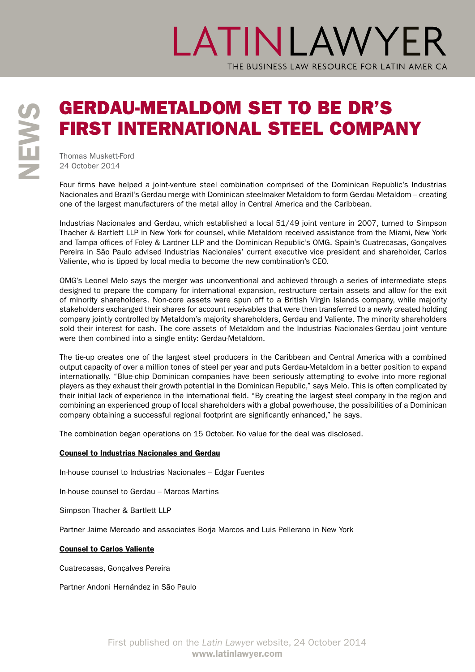## LATINLAWYER THE BUSINESS LAW RESOURCE FOR LATIN AMERICA

# **SERDAU-METALDOM SET TO BE DR'S<br>
FIRST INTERNATIONAL STEEL COMPA**<br>
Thomas Muskett-Ford<br>
Z<br>
Z<br>
24 October 2014

FIRST INTERNATIONAL STEEL COMPANY

Thomas Muskett-Ford 24 October 2014

Four firms have helped a joint-venture steel combination comprised of the Dominican Republic's Industrias Nacionales and Brazil's Gerdau merge with Dominican steelmaker Metaldom to form Gerdau-Metaldom – creating one of the largest manufacturers of the metal alloy in Central America and the Caribbean.

Industrias Nacionales and Gerdau, which established a local 51/49 joint venture in 2007, turned to Simpson Thacher & Bartlett LLP in New York for counsel, while Metaldom received assistance from the Miami, New York and Tampa offices of Foley & Lardner LLP and the Dominican Republic's OMG. Spain's Cuatrecasas, Gonçalves Pereira in São Paulo advised Industrias Nacionales' current executive vice president and shareholder, Carlos Valiente, who is tipped by local media to become the new combination's CEO.

OMG's Leonel Melo says the merger was unconventional and achieved through a series of intermediate steps designed to prepare the company for international expansion, restructure certain assets and allow for the exit of minority shareholders. Non-core assets were spun off to a British Virgin Islands company, while majority stakeholders exchanged their shares for account receivables that were then transferred to a newly created holding company jointly controlled by Metaldom's majority shareholders, Gerdau and Valiente. The minority shareholders sold their interest for cash. The core assets of Metaldom and the Industrias Nacionales-Gerdau joint venture were then combined into a single entity: Gerdau-Metaldom.

The tie-up creates one of the largest steel producers in the Caribbean and Central America with a combined output capacity of over a million tones of steel per year and puts Gerdau-Metaldom in a better position to expand internationally. "Blue-chip Dominican companies have been seriously attempting to evolve into more regional players as they exhaust their growth potential in the Dominican Republic," says Melo. This is often complicated by their initial lack of experience in the international field. "By creating the largest steel company in the region and combining an experienced group of local shareholders with a global powerhouse, the possibilities of a Dominican company obtaining a successful regional footprint are significantly enhanced," he says.

The combination began operations on 15 October. No value for the deal was disclosed.

### Counsel to Industrias Nacionales and Gerdau

In-house counsel to Industrias Nacionales – Edgar Fuentes

In-house counsel to Gerdau – Marcos Martins

Simpson Thacher & Bartlett LLP

Partner Jaime Mercado and associates Borja Marcos and Luis Pellerano in New York

### Counsel to Carlos Valiente

Cuatrecasas, Gonçalves Pereira

Partner Andoni Hernández in São Paulo